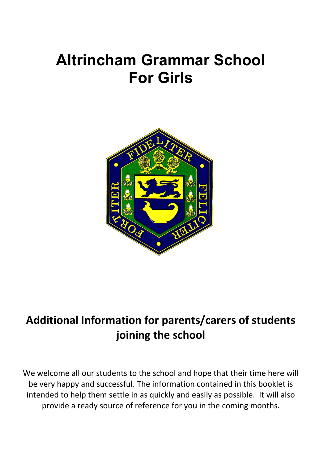# **Altrincham Grammar School For Girls**



# **Additional Information for parents/carers of students joining the school**

We welcome all our students to the school and hope that their time here will be very happy and successful. The information contained in this booklet is intended to help them settle in as quickly and easily as possible. It will also provide a ready source of reference for you in the coming months.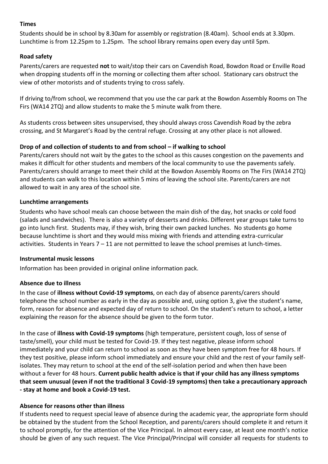# **Times**

Students should be in school by 8.30am for assembly or registration (8.40am). School ends at 3.30pm. Lunchtime is from 12.25pm to 1.25pm. The school library remains open every day until 5pm.

# **Road safety**

Parents/carers are requested **not** to wait/stop their cars on Cavendish Road, Bowdon Road or Enville Road when dropping students off in the morning or collecting them after school. Stationary cars obstruct the view of other motorists and of students trying to cross safely.

If driving to/from school, we recommend that you use the car park at the Bowdon Assembly Rooms on The Firs (WA14 2TQ) and allow students to make the 5 minute walk from there.

As students cross between sites unsupervised, they should always cross Cavendish Road by the zebra crossing, and St Margaret's Road by the central refuge. Crossing at any other place is not allowed.

# **Drop of and collection of students to and from school – if walking to school**

Parents/carers should not wait by the gates to the school as this causes congestion on the pavements and makes it difficult for other students and members of the local community to use the pavements safely. Parents/carers should arrange to meet their child at the Bowdon Assembly Rooms on The Firs (WA14 2TQ) and students can walk to this location within 5 mins of leaving the school site. Parents/carers are not allowed to wait in any area of the school site.

# **Lunchtime arrangements**

Students who have school meals can choose between the main dish of the day, hot snacks or cold food (salads and sandwiches). There is also a variety of desserts and drinks. Different year groups take turns to go into lunch first. Students may, if they wish, bring their own packed lunches. No students go home because lunchtime is short and they would miss mixing with friends and attending extra-curricular activities. Students in Years 7 – 11 are not permitted to leave the school premises at lunch-times.

# **Instrumental music lessons**

Information has been provided in original online information pack.

# **Absence due to illness**

In the case of **illness without Covid-19 symptoms**, on each day of absence parents/carers should telephone the school number as early in the day as possible and, using option 3, give the student's name, form, reason for absence and expected day of return to school. On the student's return to school, a letter explaining the reason for the absence should be given to the form tutor.

In the case of **illness with Covid-19 symptoms** (high temperature, persistent cough, loss of sense of taste/smell), your child must be tested for Covid-19. If they test negative, please inform school immediately and your child can return to school as soon as they have been symptom free for 48 hours. If they test positive, please inform school immediately and ensure your child and the rest of your family selfisolates. They may return to school at the end of the self-isolation period and when then have been without a fever for 48 hours. **Current public health advice is that if your child has any illness symptoms that seem unusual (even if not the traditional 3 Covid-19 symptoms) then take a precautionary approach - stay at home and book a Covid-19 test.** 

# **Absence for reasons other than illness**

If students need to request special leave of absence during the academic year, the appropriate form should be obtained by the student from the School Reception, and parents/carers should complete it and return it to school promptly, for the attention of the Vice Principal. In almost every case, at least one month's notice should be given of any such request. The Vice Principal/Principal will consider all requests for students to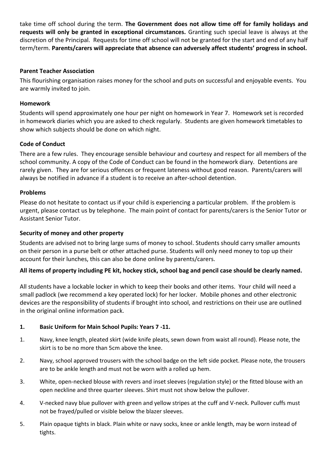take time off school during the term. **The Government does not allow time off for family holidays and requests will only be granted in exceptional circumstances.** Granting such special leave is always at the discretion of the Principal. Requests for time off school will not be granted for the start and end of any half term/term. **Parents/carers will appreciate that absence can adversely affect students' progress in school.**

# **Parent Teacher Association**

This flourishing organisation raises money for the school and puts on successful and enjoyable events. You are warmly invited to join.

# **Homework**

Students will spend approximately one hour per night on homework in Year 7. Homework set is recorded in homework diaries which you are asked to check regularly. Students are given homework timetables to show which subjects should be done on which night.

# **Code of Conduct**

There are a few rules. They encourage sensible behaviour and courtesy and respect for all members of the school community. A copy of the Code of Conduct can be found in the homework diary. Detentions are rarely given. They are for serious offences or frequent lateness without good reason. Parents/carers will always be notified in advance if a student is to receive an after-school detention.

# **Problems**

Please do not hesitate to contact us if your child is experiencing a particular problem. If the problem is urgent, please contact us by telephone. The main point of contact for parents/carers is the Senior Tutor or Assistant Senior Tutor.

# **Security of money and other property**

Students are advised not to bring large sums of money to school. Students should carry smaller amounts on their person in a purse belt or other attached purse. Students will only need money to top up their account for their lunches, this can also be done online by parents/carers.

# **All items of property including PE kit, hockey stick, school bag and pencil case should be clearly named.**

All students have a lockable locker in which to keep their books and other items. Your child will need a small padlock (we recommend a key operated lock) for her locker. Mobile phones and other electronic devices are the responsibility of students if brought into school, and restrictions on their use are outlined in the original online information pack.

# **1. Basic Uniform for Main School Pupils: Years 7 -11.**

- 1. Navy, knee length, pleated skirt (wide knife pleats, sewn down from waist all round). Please note, the skirt is to be no more than 5cm above the knee.
- 2. Navy, school approved trousers with the school badge on the left side pocket. Please note, the trousers are to be ankle length and must not be worn with a rolled up hem.
- 3. White, open-necked blouse with revers and inset sleeves (regulation style) or the fitted blouse with an open neckline and three quarter sleeves. Shirt must not show below the pullover.
- 4. V-necked navy blue pullover with green and yellow stripes at the cuff and V-neck. Pullover cuffs must not be frayed/pulled or visible below the blazer sleeves.
- 5. Plain opaque tights in black. Plain white or navy socks, knee or ankle length, may be worn instead of tights.